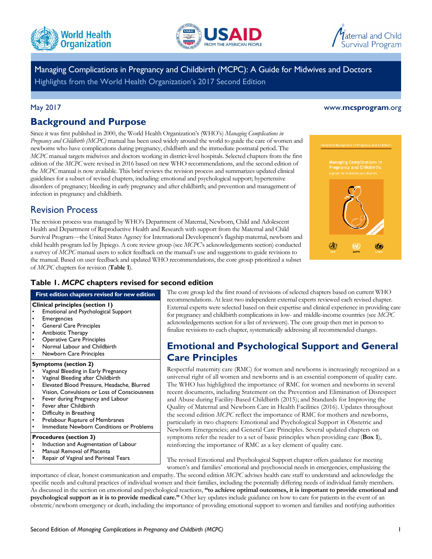





Managing Complications in Pregnancy and Childbirth (MCPC): A Guide for Midwives and Doctors Highlights from the World Health Organization's 2017 Second Edition

#### May 2017 www.**[mcsprogram](www.mcsprogram.org)**.org

### **Background and Purpose**

Since it was first published in 2000, the World Health Organization's (WHO's) *Managing Complications in Pregnancy and Childbirth (MCPC)* manual has been used widely around the world to guide the care of women and newborns who have complications during pregnancy, childbirth and the immediate postnatal period. The *MCPC* manual targets midwives and doctors working in district-level hospitals. Selected chapters from the first edition of the *MCPC* were revised in 2016 based on new WHO recommendations, and the second edition of the *MCPC* manual is now available. This brief reviews the revision process and summarizes updated clinical guidelines for a subset of revised chapters, including: emotional and psychological support; hypertensive disorders of pregnancy; bleeding in early pregnancy and after childbirth; and prevention and management of infection in pregnancy and childbirth.

### Revision Process

The revision process was managed by WHO's Department of Maternal, Newborn, Child and Adolescent Health and Department of Reproductive Health and Research with support from the Maternal and Child Survival Program—the United States Agency for International Development's flagship maternal, newborn and child health program led by Jhpiego. A core review group (see *MCPC*'s acknowledgements section) conducted a survey of *MCPC* manual users to solicit feedback on the manual's use and suggestions to guide revisions to the manual. Based on user feedback and updated WHO recommendations, the core group prioritized a subset of *MCPC* chapters for revision (**Table 1**).



### **Table 1.** *MCPC* **chapters revised for second edition**

#### **First edition chapters revised for new edition**

#### **Clinical principles (section 1)**

- Emotional and Psychological Support
- **Emergencies**
- General Care Principles
- Antibiotic Therapy
- Operative Care Principles
- Normal Labour and Childbirth
- Newborn Care Principles

#### **Symptoms (section 2)**

- Vaginal Bleeding in Early Pregnancy
- Vaginal Bleeding after Childbirth
- Elevated Blood Pressure, Headache, Blurred Vision, Convulsions or Loss of Consciousness
- Fever during Pregnancy and Labour
- Fever after Childbirth
- Difficulty in Breathing
- Prelabour Rupture of Membranes
- Immediate Newborn Conditions or Problems

#### **Procedures (section 3)**

- Induction and Augmentation of Labour
- Manual Removal of Placenta
- Repair of Vaginal and Perineal Tears
- 

The core group led the first round of revisions of selected chapters based on current WHO recommendations. At least two independent external experts reviewed each revised chapter. External experts were selected based on their expertise and clinical experience in providing care for pregnancy and childbirth complications in low- and middle-income countries (see *MCPC* acknowledgements section for a list of reviewers). The core group then met in person to finalize revisions to each chapter, systematically addressing all recommended changes.

# **Emotional and Psychological Support and General Care Principles**

Respectful maternity care (RMC) for women and newborns is increasingly recognized as a universal right of all women and newborns and is an essential component of quality care. The WHO has highlighted the importance of RMC for women and newborns in several recent documents, including Statement on the Prevention and Elimination of Disrespect and Abuse during Facility-Based Childbirth (2015); and Standards for Improving the Quality of Maternal and Newborn Care in Health Facilities (2016). Updates throughout the second edition *MCPC* reflect the importance of RMC for mothers and newborns, particularly in two chapters: Emotional and Psychological Support in Obstetric and Newborn Emergencies; and General Care Principles. Several updated chapters on symptoms refer the reader to a set of basic principles when providing care (**Box 1**), reinforcing the importance of RMC as a key element of quality care.

The revised Emotional and Psychological Support chapter offers guidance for meeting women's and families' emotional and psychosocial needs in emergencies, emphasizing the

importance of clear, honest communication and empathy. The second edition *MCPC* advises health care staff to understand and acknowledge the specific needs and cultural practices of individual women and their families, including the potentially differing needs of individual family members. As discussed in the section on emotional and psychological reactions, **"to achieve optimal outcomes, it is important to provide emotional and psychological support as it is to provide medical care."** Other key updates include guidance on how to care for patients in the event of an obstetric/newborn emergency or death, including the importance of providing emotional support to women and families and notifying authorities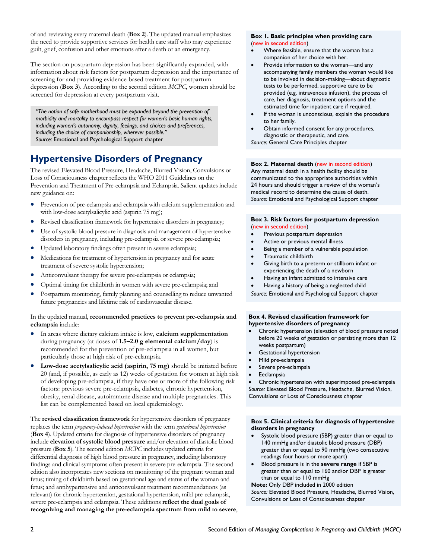of and reviewing every maternal death (**Box 2**). The updated manual emphasizes the need to provide supportive services for health care staff who may experience guilt, grief, confusion and other emotions after a death or an emergency.

The section on postpartum depression has been significantly expanded, with information about risk factors for postpartum depression and the importance of screening for and providing evidence-based treatment for postpartum depression (**Box 3**). According to the second edition *MCPC*, women should be screened for depression at every postpartum visit.

*"The notion of safe motherhood must be expanded beyond the prevention of morbidity and mortality to encompass respect for women's basic human rights, including women's autonomy, dignity, feelings, and choices and preferences, including the choice of companionship, wherever possible." Source:* Emotional and Psychological Support chapter

# **Hypertensive Disorders of Pregnancy**

The revised Elevated Blood Pressure, Headache, Blurred Vision, Convulsions or Loss of Consciousness chapter reflects the WHO 2011 Guidelines on the Prevention and Treatment of Pre-eclampsia and Eclampsia. Salient updates include new guidance on:

- Prevention of pre-eclampsia and eclampsia with calcium supplementation and with low-dose acetylsalicylic acid (aspirin 75 mg);
- Revised classification framework for hypertensive disorders in pregnancy;
- Use of systolic blood pressure in diagnosis and management of hypertensive disorders in pregnancy, including pre-eclampsia or severe pre-eclampsia;
- Updated laboratory findings often present in severe eclampsia;
- Medications for treatment of hypertension in pregnancy and for acute treatment of severe systolic hypertension;
- Anticonvulsant therapy for severe pre-eclampsia or eclampsia;
- Optimal timing for childbirth in women with severe pre-eclampsia; and
- Postpartum monitoring, family planning and counselling to reduce unwanted future pregnancies and lifetime risk of cardiovascular disease.

In the updated manual, **recommended practices to prevent pre-eclampsia and eclampsia** include:

- In areas where dietary calcium intake is low, **calcium supplementation** during pregnancy (at doses of **1.5–2.0 g elemental calcium/day**) is recommended for the prevention of pre-eclampsia in all women, but particularly those at high risk of pre-eclampsia.
- **Low-dose acetylsalicylic acid (aspirin, 75 mg)** should be initiated before 20 (and, if possible, as early as 12) weeks of gestation for women at high risk of developing pre-eclampsia, if they have one or more of the following risk factors: previous severe pre-eclampsia, diabetes, chronic hypertension, obesity, renal disease, autoimmune disease and multiple pregnancies. This list can be complemented based on local epidemiology.

The **revised classification framework** for hypertensive disorders of pregnancy replaces the term *pregnancy-induced hypertension* with the term *gestational hypertension* (**Box 4**). Updated criteria for diagnosis of hypertensive disorders of pregnancy include **elevation of systolic blood pressure** and/or elevation of diastolic blood pressure (**Box 5**). The second edition *MCPC* includes updated criteria for differential diagnosis of high blood pressure in pregnancy, including laboratory findings and clinical symptoms often present in severe pre-eclampsia. The second edition also incorporates new sections on monitoring of the pregnant woman and fetus; timing of childbirth based on gestational age and status of the woman and fetus; and antihypertensive and anticonvulsant treatment recommendations (as relevant) for chronic hypertension, gestational hypertension, mild pre-eclampsia, severe pre-eclampsia and eclampsia. These additions **reflect the dual goals of recognizing and managing the pre-eclampsia spectrum from mild to severe**,

#### **Box 1. Basic principles when providing care**  (new in second edition)

- Where feasible, ensure that the woman has a companion of her choice with her.
- Provide information to the woman—and any accompanying family members the woman would like to be involved in decision-making—about diagnostic tests to be performed, supportive care to be provided (e.g. intravenous infusion), the process of care, her diagnosis, treatment options and the estimated time for inpatient care if required.
- If the woman is unconscious, explain the procedure to her family.
- Obtain informed consent for any procedures, diagnostic or therapeutic, and care. *Source:* General Care Principles chapter

#### **Box 2. Maternal death** (new in second edition)

Any maternal death in a health facility should be communicated to the appropriate authorities within 24 hours and should trigger a review of the woman's medical record to determine the cause of death. *Source:* Emotional and Psychological Support chapter

#### **Box 3. Risk factors for postpartum depression**  (new in second edition)

- Previous postpartum depression
- Active or previous mental illness
- Being a member of a vulnerable population
- Traumatic childbirth
- Giving birth to a preterm or stillborn infant or experiencing the death of a newborn
- Having an infant admitted to intensive care
- Having a history of being a neglected child

*Source:* Emotional and Psychological Support chapter

#### **Box 4. Revised classification framework for hypertensive disorders of pregnancy**

- Chronic hypertension (elevation of blood pressure noted before 20 weeks of gestation or persisting more than 12 weeks postpartum)
- Gestational hypertension
- Mild pre-eclampsia
- Severe pre-eclampsia
- Eeclampsia

 Chronic hypertension with superimposed pre-eclampsia *Source:* Elevated Blood Pressure, Headache, Blurred Vision, Convulsions or Loss of Consciousness chapter

#### **Box 5. Clinical criteria for diagnosis of hypertensive disorders in pregnancy**

- Systolic blood pressure (SBP) greater than or equal to 140 mmHg and/or diastolic blood pressure (DBP) greater than or equal to 90 mmHg (two consecutive readings four hours or more apart)
- Blood pressure is in the **severe range** if SBP is greater than or equal to 160 and/or DBP is greater than or equal to 110 mmHg

**Note:** Only DBP included in 2000 edition *Source:* Elevated Blood Pressure, Headache, Blurred Vision, Convulsions or Loss of Consciousness chapter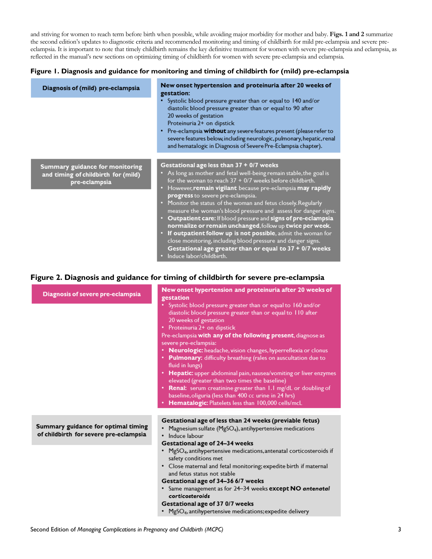and striving for women to reach term before birth when possible, while avoiding major morbidity for mother and baby. **Figs. 1 and 2** summarize the second edition's updates to diagnostic criteria and recommended monitoring and timing of childbirth for mild pre-eclampsia and severe preeclampsia. It is important to note that timely childbirth remains the key definitive treatment for women with severe pre-eclampsia and eclampsia, as reflected in the manual's new sections on optimizing timing of childbirth for women with severe pre-eclampsia and eclampsia.

#### **Figure 1. Diagnosis and guidance for monitoring and timing of childbirth for (mild) pre-eclampsia**

| Diagnosis of (mild) pre-eclampsia                                                       | New onset hypertension and proteinuria after 20 weeks of<br>gestation:<br>• Systolic blood pressure greater than or equal to 140 and/or<br>diastolic blood pressure greater than or equal to 90 after<br>20 weeks of gestation<br>Proteinuria 2+ on dipstick<br>• Pre-eclampsia without any severe features present (please refer to<br>severe features below, including neurologic, pulmonary, hepatic, renal<br>and hematalogic in Diagnosis of Severe Pre-Eclampsia chapter).                                                                                                                                                                                                                                                                                                  |
|-----------------------------------------------------------------------------------------|-----------------------------------------------------------------------------------------------------------------------------------------------------------------------------------------------------------------------------------------------------------------------------------------------------------------------------------------------------------------------------------------------------------------------------------------------------------------------------------------------------------------------------------------------------------------------------------------------------------------------------------------------------------------------------------------------------------------------------------------------------------------------------------|
| Summary guidance for monitoring<br>and timing of childbirth for (mild)<br>pre-eclampsia | Gestational age less than 37 + 0/7 weeks<br>• As long as mother and fetal well-being remain stable, the goal is<br>for the woman to reach $37 + 0/7$ weeks before childbirth.<br>• However, remain vigilant because pre-eclampsia may rapidly<br>progress to severe pre-eclampsia.<br>• Monitor the status of the woman and fetus closely. Regularly<br>measure the woman's blood pressure and assess for danger signs.<br>• Outpatient care: If blood pressure and signs of pre-eclampsia<br>normalize or remain unchanged, follow up twice per week.<br>• If outpatient follow up is not possible, admit the woman for<br>close monitoring, including blood pressure and danger signs.<br>Gestational age greater than or equal to 37 + 0/7 weeks<br>· Induce labor/childbirth. |

### **Figure 2. Diagnosis and guidance for timing of childbirth for severe pre-eclampsia**

| Diagnosis of severe pre-eclampsia                                             | New onset hypertension and proteinuria after 20 weeks of<br>gestation                                                                                                                                                                                                                                                                                                                                                                                                                                                                                                                                                                                                                                                                            |
|-------------------------------------------------------------------------------|--------------------------------------------------------------------------------------------------------------------------------------------------------------------------------------------------------------------------------------------------------------------------------------------------------------------------------------------------------------------------------------------------------------------------------------------------------------------------------------------------------------------------------------------------------------------------------------------------------------------------------------------------------------------------------------------------------------------------------------------------|
|                                                                               | • Systolic blood pressure greater than or equal to 160 and/or<br>diastolic blood pressure greater than or equal to 110 after<br>20 weeks of gestation<br>• Proteinuria 2+ on dipstick<br>Pre-eclampsia with any of the following present, diagnose as<br>severe pre-eclampsia:<br>Neurologic: headache, vision changes, hyperreflexia or clonus<br>• Pulmonary: difficulty breathing (rales on auscultation due to<br>fluid in lungs)<br>• Hepatic: upper abdominal pain, nausea/vomiting or liver enzymes<br>elevated (greater than two times the baseline)<br>• Renal: serum creatinine greater than 1.1 mg/dL or doubling of<br>baseline, oliguria (less than 400 cc urine in 24 hrs)<br>• Hematalogic: Platelets less than 100,000 cells/mcL |
| Summary guidance for optimal timing<br>of childbirth for severe pre-eclampsia | Gestational age of less than 24 weeks (previable fetus)<br>Magnesium sulfate (MgSO <sub>4</sub> ), antihypertensive medications<br>· Induce labour<br>Gestational age of 24-34 weeks                                                                                                                                                                                                                                                                                                                                                                                                                                                                                                                                                             |
|                                                                               | • MgSO <sub>4</sub> , antihypertensive medications, antenatal corticosteroids if<br>safety conditions met<br>• Close maternal and fetal monitoring; expedite birth if maternal<br>and fetus status not stable<br>Gestational age of 34-36 6/7 weeks                                                                                                                                                                                                                                                                                                                                                                                                                                                                                              |
|                                                                               | • Same management as for 24-34 weeks except NO antenatal<br>corticosteroids<br>Gestational age of 37 0/7 weeks<br>• MgSO <sub>4</sub> , antihypertensive medications; expedite delivery                                                                                                                                                                                                                                                                                                                                                                                                                                                                                                                                                          |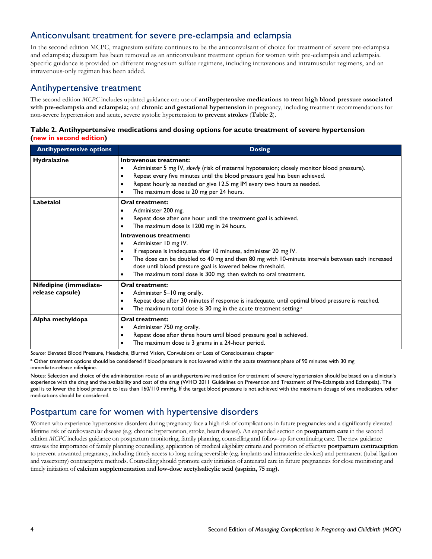### Anticonvulsant treatment for severe pre-eclampsia and eclampsia

In the second edition MCPC, magnesium sulfate continues to be the anticonvulsant of choice for treatment of severe pre-eclampsia and eclampsia; diazepam has been removed as an anticonvulsant treatment option for women with pre-eclampsia and eclampsia. Specific guidance is provided on different magnesium sulfate regimens, including intravenous and intramuscular regimens, and an intravenous-only regimen has been added.

### Antihypertensive treatment

The second edition *MCPC* includes updated guidance on: use of **antihypertensive medications to treat high blood pressure associated with pre-eclampsia and eclampsia;** and **chronic and gestational hypertension** in pregnancy, including treatment recommendations for non-severe hypertension and acute, severe systolic hypertension **to prevent strokes** (**Table 2**).

#### **Table 2. Antihypertensive medications and dosing options for acute treatment of severe hypertension (new in second edition)**

| <b>Antihypertensive options</b>            | <b>Dosing</b>                                                                                                                                                                                                                                                                                                                                                                                                                                                                                                                                                                       |
|--------------------------------------------|-------------------------------------------------------------------------------------------------------------------------------------------------------------------------------------------------------------------------------------------------------------------------------------------------------------------------------------------------------------------------------------------------------------------------------------------------------------------------------------------------------------------------------------------------------------------------------------|
| <b>Hydralazine</b>                         | Intravenous treatment:<br>Administer 5 mg IV, slowly (risk of maternal hypotension; closely monitor blood pressure).<br>$\bullet$<br>Repeat every five minutes until the blood pressure goal has been achieved.<br>$\bullet$<br>Repeat hourly as needed or give 12.5 mg IM every two hours as needed.<br>٠<br>The maximum dose is 20 mg per 24 hours.<br>٠                                                                                                                                                                                                                          |
| Labetalol                                  | Oral treatment:<br>Administer 200 mg.<br>٠<br>Repeat dose after one hour until the treatment goal is achieved.<br>٠<br>The maximum dose is 1200 mg in 24 hours.<br>٠<br>Intravenous treatment:<br>Administer 10 mg IV.<br>$\bullet$<br>If response is inadequate after 10 minutes, administer 20 mg IV.<br>$\bullet$<br>The dose can be doubled to 40 mg and then 80 mg with 10-minute intervals between each increased<br>$\bullet$<br>dose until blood pressure goal is lowered below threshold.<br>The maximum total dose is 300 mg; then switch to oral treatment.<br>$\bullet$ |
| Nifedipine (immediate-<br>release capsule) | Oral treatment:<br>Administer 5-10 mg orally.<br>٠<br>Repeat dose after 30 minutes if response is inadequate, until optimal blood pressure is reached.<br>$\bullet$<br>The maximum total dose is 30 mg in the acute treatment setting. <sup>a</sup><br>٠                                                                                                                                                                                                                                                                                                                            |
| Alpha methyldopa                           | Oral treatment:<br>Administer 750 mg orally.<br>$\bullet$<br>Repeat dose after three hours until blood pressure goal is achieved.<br>$\bullet$<br>The maximum dose is 3 grams in a 24-hour period.<br>$\bullet$                                                                                                                                                                                                                                                                                                                                                                     |

*Source:* Elevated Blood Pressure, Headache, Blurred Vision, Convulsions or Loss of Consciousness chapter

**<sup>a</sup>** Other treatment options should be considered if blood pressure is not lowered within the acute treatment phase of 90 minutes with 30 mg immediate-release nifedipine.

Notes: Selection and choice of the administration route of an antihypertensive medication for treatment of severe hypertension should be based on a clinician's experience with the drug and the availability and cost of the drug (WHO 2011 Guidelines on Prevention and Treatment of Pre-Eclampsia and Eclampsia). The goal is to lower the blood pressure to less than 160/110 mmHg. If the target blood pressure is not achieved with the maximum dosage of one medication, other medications should be considered.

# Postpartum care for women with hypertensive disorders

Women who experience hypertensive disorders during pregnancy face a high risk of complications in future pregnancies and a significantly elevated lifetime risk of cardiovascular disease (e.g. chronic hypertension, stroke, heart disease). An expanded section on **postpartum care** in the second edition *MCPC* includes guidance on postpartum monitoring, family planning, counselling and follow-up for continuing care. The new guidance stresses the importance of family planning counselling, application of medical eligibility criteria and provision of effective **postpartum contraception** to prevent unwanted pregnancy, including timely access to long-acting reversible (e.g. implants and intrauterine devices) and permanent (tubal ligation and vasectomy) contraceptive methods. Counselling should promote early initiation of antenatal care in future pregnancies for close monitoring and timely initiation of **calcium supplementation** and **low-dose acetylsalicylic acid (aspirin, 75 mg).**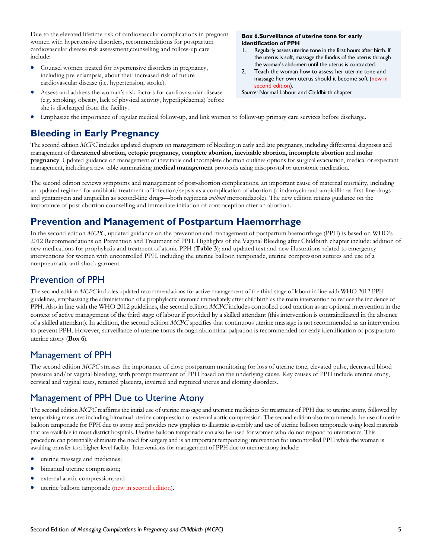Due to the elevated lifetime risk of cardiovascular complications in pregnant women with hypertensive disorders, recommendations for postpartum cardiovascular disease risk assessment,counselling and follow-up care include:

- Counsel women treated for hypertensive disorders in pregnancy, including pre-eclampsia, about their increased risk of future cardiovascular disease (i.e. hypertension, stroke).
- Assess and address the woman's risk factors for cardiovascular disease (e.g. smoking, obesity, lack of physical activity, hyperlipidaemia) before she is discharged from the facility.

#### **Box 6.Surveillance of uterine tone for early identification of PPH**

- 1. Regularly assess uterine tone in the first hours after birth. If the uterus is soft, massage the fundus of the uterus through the woman's abdomen until the uterus is contracted.
- 2. Teach the woman how to assess her uterine tone and massage her own uterus should it become soft (new in second edition).
- *Source:* Normal Labour and Childbirth chapter
- Emphasize the importance of regular medical follow-up, and link women to follow-up primary care services before discharge.

# **Bleeding in Early Pregnancy**

The second edition *MCPC* includes updated chapters on management of bleeding in early and late pregnancy, including differential diagnosis and management of **threatened abortion, ectopic pregnancy, complete abortion, inevitable abortion, incomplete abortion** and **molar pregnancy**. Updated guidance on management of inevitable and incomplete abortion outlines options for surgical evacuation, medical or expectant management, including a new table summarizing **medical management** protocols using misoprostol or uterotonic medication.

The second edition reviews symptoms and management of post-abortion complications, an important cause of maternal mortality, including an updated regimen for antibiotic treatment of infection/sepsis as a complication of abortion (clindamycin and ampicillin as first-line drugs and gentamycin and ampicillin as second-line drugs—both regimens *without* metronidazole). The new edition retains guidance on the importance of post-abortion counselling and immediate initiation of contraception after an abortion.

# **Prevention and Management of Postpartum Haemorrhage**

In the second edition *MCPC*, updated guidance on the prevention and management of postpartum haemorrhage (PPH) is based on WHO's 2012 Recommendations on Prevention and Treatment of PPH. Highlights of the Vaginal Bleeding after Childbirth chapter include: addition of new medications for prophylaxis and treatment of atonic PPH (**Table 3**); and updated text and new illustrations related to emergency interventions for women with uncontrolled PPH, including the uterine balloon tamponade, uterine compression sutures and use of a nonpneumatic anti-shock garment.

# Prevention of PPH

The second edition *MCPC* includes updated recommendations for active management of the third stage of labour in line with WHO 2012 PPH guidelines, emphasizing the administration of a prophylactic uteronic immediately after childbirth as the main intervention to reduce the incidence of PPH. Also in line with the WHO 2012 guidelines, the second edition *MCPC* includes controlled cord traction as an optional intervention in the context of active management of the third stage of labour if provided by a skilled attendant (this intervention is contraindicated in the absence of a skilled attendant). In addition, the second edition *MCPC* specifies that continuous uterine massage is not recommended as an intervention to prevent PPH. However, surveillance of uterine tonus through abdominal palpation is recommended for early identification of postpartum uterine atony (**Box 6**).

# Management of PPH

The second edition *MCPC* stresses the importance of close postpartum monitoring for loss of uterine tone, elevated pulse, decreased blood pressure and/or vaginal bleeding, with prompt treatment of PPH based on the underlying cause. Key causes of PPH include uterine atony, cervical and vaginal tears, retained placenta, inverted and ruptured uterus and clotting disorders.

# Management of PPH Due to Uterine Atony

The second edition *MCPC* reaffirms the initial use of uterine massage and uteronic medicines for treatment of PPH due to uterine atony, followed by temporizing measures including bimanual uterine compression or external aortic compression. The second edition also recommends the use of uterine balloon tamponade for PPH due to atony and provides new graphics to illustrate assembly and use of uterine balloon tamponade using local materials that are available in most district hospitals. Uterine balloon tamponade can also be used for women who do not respond to uterotonics. This procedure can potentially eliminate the need for surgery and is an important temporizing intervention for uncontrolled PPH while the woman is awaiting transfer to a higher-level facility. Interventions for management of PPH due to uterine atony include:

- uterine massage and medicines;
- bimanual uterine compression;
- external aortic compression; and
- uterine balloon tamponade (new in second edition).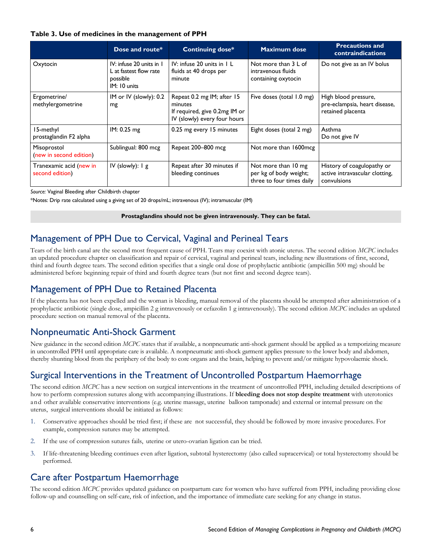#### **Table 3. Use of medicines in the management of PPH**

|                                            | Dose and route*                                                                | <b>Continuing dose*</b>                                                                                | <b>Maximum dose</b>                                                        | <b>Precautions and</b><br><b>contraindications</b>                          |
|--------------------------------------------|--------------------------------------------------------------------------------|--------------------------------------------------------------------------------------------------------|----------------------------------------------------------------------------|-----------------------------------------------------------------------------|
| Oxytocin                                   | IV: infuse 20 units in 1<br>L at fastest flow rate<br>possible<br>IM: 10 units | IV: infuse 20 units in 1 L<br>fluids at 40 drops per<br>minute                                         | Not more than 3 L of<br>intravenous fluids<br>containing oxytocin          | Do not give as an IV bolus                                                  |
| Ergometrine/<br>methylergometrine          | IM or IV (slowly): $0.2$<br>mg                                                 | Repeat 0.2 mg IM; after 15<br>minutes<br>If required, give 0.2mg IM or<br>IV (slowly) every four hours | Five doses (total 1.0 mg)                                                  | High blood pressure,<br>pre-eclampsia, heart disease,<br>retained placenta  |
| 15-methyl<br>prostaglandin F2 alpha        | IM: 0.25 mg                                                                    | 0.25 mg every 15 minutes                                                                               | Eight doses (total 2 mg)                                                   | Asthma<br>Do not give IV                                                    |
| Misoprostol<br>(new in second edition)     | Sublingual: 800 mcg                                                            | Repeat 200-800 mcg                                                                                     | Not more than 1600mcg                                                      |                                                                             |
| Tranexamic acid (new in<br>second edition) | IV (slowly): $1 g$                                                             | Repeat after 30 minutes if<br>bleeding continues                                                       | Not more than 10 mg<br>per kg of body weight;<br>three to four times daily | History of coagulopathy or<br>active intravascular clotting,<br>convulsions |

*Source:* Vaginal Bleeding after Childbirth chapter

\*Notes: Drip rate calculated using a giving set of 20 drops/mL; intravenous (IV); intramuscular (IM)

**Prostaglandins should not be given intravenously. They can be fatal.**

# Management of PPH Due to Cervical, Vaginal and Perineal Tears

Tears of the birth canal are the second most frequent cause of PPH. Tears may coexist with atonic uterus. The second edition *MCPC* includes an updated procedure chapter on classification and repair of cervical, vaginal and perineal tears, including new illustrations of first, second, third and fourth degree tears. The second edition specifies that a single oral dose of prophylactic antibiotic (ampicillin 500 mg) should be administered before beginning repair of third and fourth degree tears (but not first and second degree tears).

### Management of PPH Due to Retained Placenta

If the placenta has not been expelled and the woman is bleeding, manual removal of the placenta should be attempted after administration of a prophylactic antibiotic (single dose, ampicillin 2 g intravenously or cefazolin 1 g intravenously). The second edition *MCPC* includes an updated procedure section on manual removal of the placenta.

# Nonpneumatic Anti-Shock Garment

New guidance in the second edition *MCPC* states that if available, a nonpneumatic anti-shock garment should be applied as a temporizing measure in uncontrolled PPH until appropriate care is available. A nonpneumatic anti-shock garment applies pressure to the lower body and abdomen, thereby shunting blood from the periphery of the body to core organs and the brain, helping to prevent and/or mitigate hypovolaemic shock.

# Surgical Interventions in the Treatment of Uncontrolled Postpartum Haemorrhage

The second edition *MCPC* has a new section on surgical interventions in the treatment of uncontrolled PPH, including detailed descriptions of how to perform compression sutures along with accompanying illustrations. If **bleeding does not stop despite treatment** with uterotonics and other available conservative interventions (e.g. uterine massage, uterine balloon tamponade) and external or internal pressure on the uterus, surgical interventions should be initiated as follows:

- 1. Conservative approaches should be tried first; if these are not successful, they should be followed by more invasive procedures. For example, compression sutures may be attempted.
- 2. If the use of compression sutures fails, uterine or utero-ovarian ligation can be tried.
- 3. If life-threatening bleeding continues even after ligation, subtotal hysterectomy (also called supracervical) or total hysterectomy should be performed.

# Care after Postpartum Haemorrhage

The second edition *MCPC* provides updated guidance on postpartum care for women who have suffered from PPH, including providing close follow-up and counselling on self-care, risk of infection, and the importance of immediate care seeking for any change in status.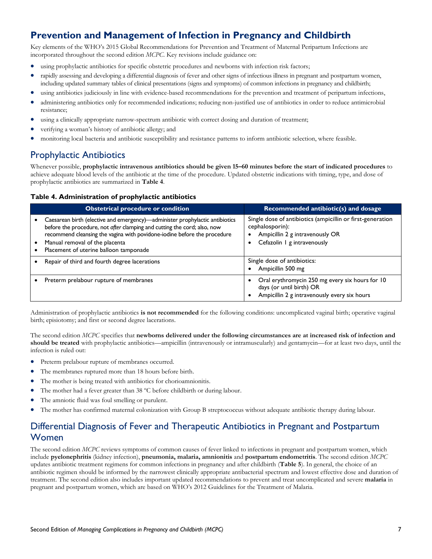# **Prevention and Management of Infection in Pregnancy and Childbirth**

Key elements of the WHO's 2015 Global Recommendations for Prevention and Treatment of Maternal Peripartum Infections are incorporated throughout the second edition *MCPC*. Key revisions include guidance on:

- using prophylactic antibiotics for specific obstetric procedures and newborns with infection risk factors;
- rapidly assessing and developing a differential diagnosis of fever and other signs of infectious illness in pregnant and postpartum women, including updated summary tables of clinical presentations (signs and symptoms) of common infections in pregnancy and childbirth;
- using antibiotics judiciously in line with evidence-based recommendations for the prevention and treatment of peripartum infections,
- administering antibiotics only for recommended indications; reducing non-justified use of antibiotics in order to reduce antimicrobial resistance;
- using a clinically appropriate narrow-spectrum antibiotic with correct dosing and duration of treatment;
- verifying a woman's history of antibiotic allergy; and
- monitoring local bacteria and antibiotic susceptibility and resistance patterns to inform antibiotic selection, where feasible.

### Prophylactic Antibiotics

Whenever possible, **prophylactic intravenous antibiotics should be given 15–60 minutes before the start of indicated procedures** to achieve adequate blood levels of the antibiotic at the time of the procedure. Updated obstetric indications with timing, type, and dose of prophylactic antibiotics are summarized in **Table 4**.

#### **Table 4. Administration of prophylactic antibiotics**

| <b>Obstetrical procedure or condition</b>                                                                                                                                                                                                                                                                        | Recommended antibiotic(s) and dosage                                                                                                            |
|------------------------------------------------------------------------------------------------------------------------------------------------------------------------------------------------------------------------------------------------------------------------------------------------------------------|-------------------------------------------------------------------------------------------------------------------------------------------------|
| Caesarean birth (elective and emergency)—administer prophylactic antibiotics<br>before the procedure, not after clamping and cutting the cord; also, now<br>recommend cleansing the vagina with povidone-iodine before the procedure<br>Manual removal of the placenta<br>Placement of uterine balloon tamponade | Single dose of antibiotics (ampicillin or first-generation<br>cephalosporin):<br>Ampicillin 2 g intravenously OR<br>Cefazolin 1 g intravenously |
| Repair of third and fourth degree lacerations                                                                                                                                                                                                                                                                    | Single dose of antibiotics:<br>Ampicillin 500 mg                                                                                                |
| Preterm prelabour rupture of membranes                                                                                                                                                                                                                                                                           | Oral erythromycin 250 mg every six hours for 10<br>days (or until birth) OR<br>Ampicillin 2 g intravenously every six hours                     |

Administration of prophylactic antibiotics **is not recommended** for the following conditions: uncomplicated vaginal birth; operative vaginal birth; episiotomy; and first or second degree lacerations.

The second edition *MCPC* specifies that **newborns delivered under the following circumstances are at increased risk of infection and**  should be treated with prophylactic antibiotics—ampicillin (intravenously or intramuscularly) and gentamycin—for at least two days, until the infection is ruled out:

- Preterm prelabour rupture of membranes occurred.
- The membranes ruptured more than 18 hours before birth.
- The mother is being treated with antibiotics for chorioamnionitis.
- The mother had a fever greater than 38 ºC before childbirth or during labour.
- The amniotic fluid was foul smelling or purulent.
- The mother has confirmed maternal colonization with Group B streptococcus without adequate antibiotic therapy during labour.

# Differential Diagnosis of Fever and Therapeutic Antibiotics in Pregnant and Postpartum Women

The second edition *MCPC* reviews symptoms of common causes of fever linked to infections in pregnant and postpartum women, which include **pyelonephritis** (kidney infection), **pneumonia, malaria, amnionitis** and **postpartum endometritis**. The second edition *MCPC*  updates antibiotic treatment regimens for common infections in pregnancy and after childbirth (**Table 5**). In general, the choice of an antibiotic regimen should be informed by the narrowest clinically appropriate antibacterial spectrum and lowest effective dose and duration of treatment. The second edition also includes important updated recommendations to prevent and treat uncomplicated and severe **malaria** in pregnant and postpartum women, which are based on WHO's 2012 Guidelines for the Treatment of Malaria.